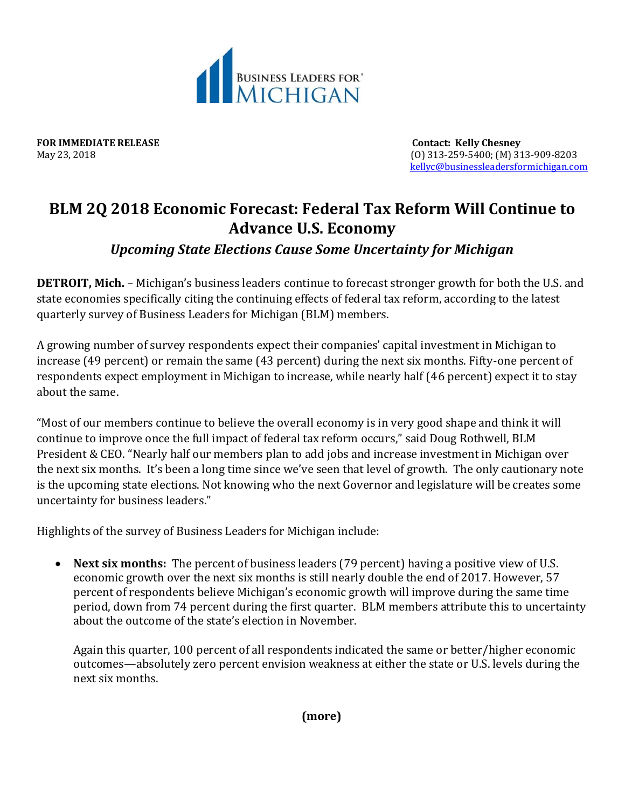

**FOR IMMEDIATE RELEASE Contact: Kelly Chesney**

May 23, 2018 (O) 313-259-5400; (M) 313-909-8203 [kellyc@businessleadersformichigan.com](mailto:kellyc@businessleadersformichigan.com)

## **BLM 2Q 2018 Economic Forecast: Federal Tax Reform Will Continue to Advance U.S. Economy**

## *Upcoming State Elections Cause Some Uncertainty for Michigan*

**DETROIT, Mich.** – Michigan's business leaders continue to forecast stronger growth for both the U.S. and state economies specifically citing the continuing effects of federal tax reform, according to the latest quarterly survey of Business Leaders for Michigan (BLM) members.

A growing number of survey respondents expect their companies' capital investment in Michigan to increase (49 percent) or remain the same (43 percent) during the next six months. Fifty-one percent of respondents expect employment in Michigan to increase, while nearly half (46 percent) expect it to stay about the same.

"Most of our members continue to believe the overall economy is in very good shape and think it will continue to improve once the full impact of federal tax reform occurs," said Doug Rothwell, BLM President & CEO. "Nearly half our members plan to add jobs and increase investment in Michigan over the next six months. It's been a long time since we've seen that level of growth. The only cautionary note is the upcoming state elections. Not knowing who the next Governor and legislature will be creates some uncertainty for business leaders."

Highlights of the survey of Business Leaders for Michigan include:

 **Next six months:** The percent of business leaders (79 percent) having a positive view of U.S. economic growth over the next six months is still nearly double the end of 2017. However, 57 percent of respondents believe Michigan's economic growth will improve during the same time period, down from 74 percent during the first quarter. BLM members attribute this to uncertainty about the outcome of the state's election in November.

Again this quarter, 100 percent of all respondents indicated the same or better/higher economic outcomes—absolutely zero percent envision weakness at either the state or U.S. levels during the next six months.

**(more)**